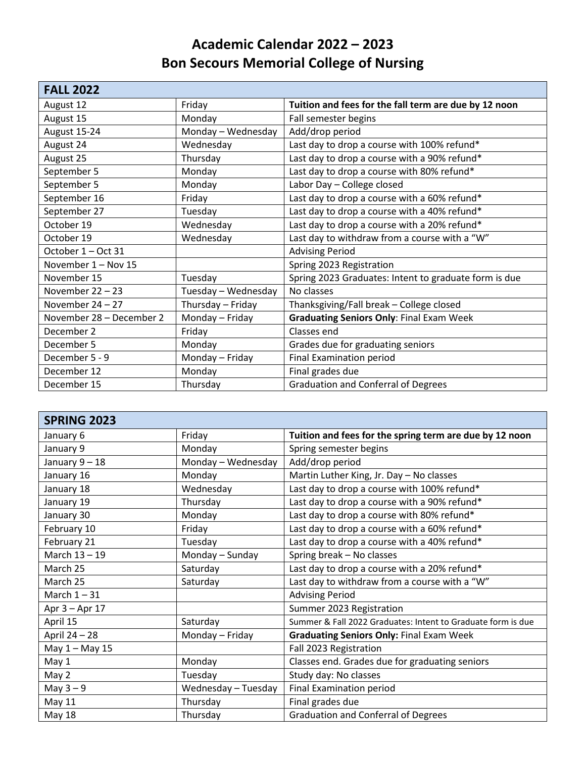## **Academic Calendar 2022 – 2023 Bon Secours Memorial College of Nursing**

| <b>FALL 2022</b>         |                     |                                                       |
|--------------------------|---------------------|-------------------------------------------------------|
| August 12                | Friday              | Tuition and fees for the fall term are due by 12 noon |
| August 15                | Monday              | Fall semester begins                                  |
| August 15-24             | Monday - Wednesday  | Add/drop period                                       |
| August 24                | Wednesday           | Last day to drop a course with 100% refund*           |
| August 25                | Thursday            | Last day to drop a course with a 90% refund*          |
| September 5              | Monday              | Last day to drop a course with 80% refund*            |
| September 5              | Monday              | Labor Day - College closed                            |
| September 16             | Friday              | Last day to drop a course with a 60% refund*          |
| September 27             | Tuesday             | Last day to drop a course with a 40% refund*          |
| October 19               | Wednesday           | Last day to drop a course with a 20% refund*          |
| October 19               | Wednesday           | Last day to withdraw from a course with a "W"         |
| October 1 - Oct 31       |                     | <b>Advising Period</b>                                |
| November 1 - Nov 15      |                     | Spring 2023 Registration                              |
| November 15              | Tuesday             | Spring 2023 Graduates: Intent to graduate form is due |
| November $22 - 23$       | Tuesday - Wednesday | No classes                                            |
| November $24 - 27$       | Thursday - Friday   | Thanksgiving/Fall break - College closed              |
| November 28 - December 2 | Monday - Friday     | <b>Graduating Seniors Only: Final Exam Week</b>       |
| December 2               | Friday              | Classes end                                           |
| December 5               | Monday              | Grades due for graduating seniors                     |
| December 5 - 9           | Monday - Friday     | <b>Final Examination period</b>                       |
| December 12              | Monday              | Final grades due                                      |
| December 15              | Thursday            | <b>Graduation and Conferral of Degrees</b>            |

| <b>SPRING 2023</b> |                     |                                                              |
|--------------------|---------------------|--------------------------------------------------------------|
| January 6          | Friday              | Tuition and fees for the spring term are due by 12 noon      |
| January 9          | Monday              | Spring semester begins                                       |
| January 9-18       | Monday - Wednesday  | Add/drop period                                              |
| January 16         | Monday              | Martin Luther King, Jr. Day - No classes                     |
| January 18         | Wednesday           | Last day to drop a course with 100% refund*                  |
| January 19         | Thursday            | Last day to drop a course with a 90% refund*                 |
| January 30         | Monday              | Last day to drop a course with 80% refund*                   |
| February 10        | Friday              | Last day to drop a course with a 60% refund*                 |
| February 21        | Tuesday             | Last day to drop a course with a 40% refund*                 |
| March 13 - 19      | Monday - Sunday     | Spring break - No classes                                    |
| March 25           | Saturday            | Last day to drop a course with a 20% refund*                 |
| March 25           | Saturday            | Last day to withdraw from a course with a "W"                |
| March $1 - 31$     |                     | <b>Advising Period</b>                                       |
| Apr 3 - Apr 17     |                     | Summer 2023 Registration                                     |
| April 15           | Saturday            | Summer & Fall 2022 Graduates: Intent to Graduate form is due |
| April 24 - 28      | Monday - Friday     | <b>Graduating Seniors Only: Final Exam Week</b>              |
| May 1 - May 15     |                     | Fall 2023 Registration                                       |
| May 1              | Monday              | Classes end. Grades due for graduating seniors               |
| May 2              | Tuesday             | Study day: No classes                                        |
| May $3-9$          | Wednesday - Tuesday | <b>Final Examination period</b>                              |
| <b>May 11</b>      | Thursday            | Final grades due                                             |
| May 18             | Thursday            | <b>Graduation and Conferral of Degrees</b>                   |